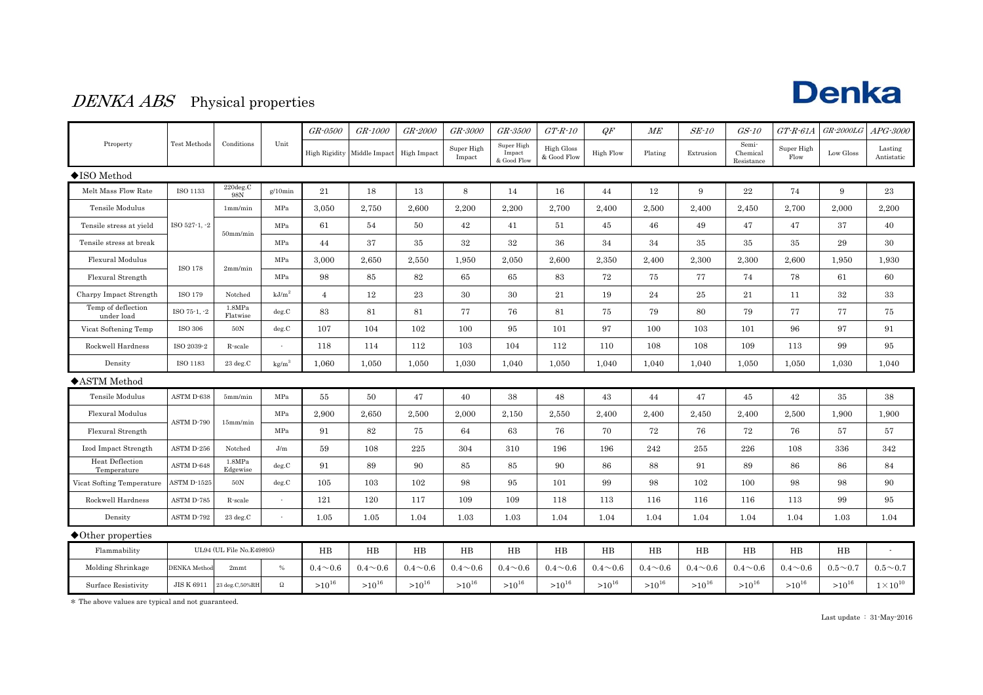## **Denka**

#### DENKA ABS Physical properties

|                                  |                          |                    |                   | GR-0500        | GR-1000                     | GR-2000        | GR-3000              | GR-3500                             | $GT\text{-}R\text{-}10$          | QF               | ME             | SE-10          | $GS-10$                         | $GT$ - $R$ - $61A$ | <b>GR-2000LG</b> | APG-3000              |
|----------------------------------|--------------------------|--------------------|-------------------|----------------|-----------------------------|----------------|----------------------|-------------------------------------|----------------------------------|------------------|----------------|----------------|---------------------------------|--------------------|------------------|-----------------------|
| Ptroperty                        | Test Methods             | Conditions         | Unit              |                | High Rigidity Middle Impact | High Impact    | Super High<br>Impact | Super High<br>Impact<br>& Good Flow | <b>High Gloss</b><br>& Good Flow | <b>High Flow</b> | Plating        | Extrusion      | Semi-<br>Chemical<br>Resistance | Super High<br>Flow | Low Gloss        | Lasting<br>Antistatic |
| $\blacklozenge$ ISO Method       |                          |                    |                   |                |                             |                |                      |                                     |                                  |                  |                |                |                                 |                    |                  |                       |
| Melt Mass Flow Rate              | ISO 1133                 | 220deg.C<br>98N    | $g/10$ min        | 21             | 18                          | 13             | 8                    | 14                                  | 16                               | 44               | 12             | 9              | $\bf 22$                        | 74                 | 9                | 23                    |
| Tensile Modulus                  |                          | 1mm/min            | MPa               | 3,050          | 2,750                       | 2,600          | 2,200                | 2,200                               | 2,700                            | 2,400            | 2,500          | 2,400          | 2,450                           | 2,700              | 2,000            | 2,200                 |
| Tensile stress at yield          | ISO 527-1, -2            | $50$ mm/min        | MPa               | 61             | 54                          | 50             | 42                   | 41                                  | 51                               | 45               | 46             | 49             | 47                              | 47                 | 37               | 40                    |
| Tensile stress at break          |                          |                    | MPa               | 44             | 37                          | 35             | $32\,$               | 32                                  | 36                               | 34               | 34             | 35             | 35                              | 35                 | 29               | 30                    |
| Flexural Modulus                 | <b>ISO 178</b>           | 2mm/min            | MPa               | 3,000          | 2,650                       | 2,550          | 1,950                | 2,050                               | 2,600                            | 2,350            | 2,400          | 2,300          | 2,300                           | 2,600              | 1,950            | 1,930                 |
| Flexural Strength                |                          |                    | MPa               | 98             | 85                          | 82             | 65                   | 65                                  | 83                               | 72               | 75             | 77             | 74                              | 78                 | 61               | 60                    |
| Charpy Impact Strength           | ISO 179                  | Notched            | kJ/m <sup>2</sup> | $\overline{4}$ | 12                          | 23             | 30                   | 30                                  | 21                               | 19               | 24             | $\bf 25$       | 21                              | 11                 | $32\,$           | 33                    |
| Temp of deflection<br>under load | ISO 75-1, -2             | 1.8MPa<br>Flatwise | deg.C             | 83             | 81                          | 81             | 77                   | 76                                  | 81                               | 75               | 79             | 80             | 79                              | 77                 | 77               | 75                    |
| Vicat Softening Temp             | <b>ISO 306</b>           | 50N                | deg.C             | 107            | 104                         | 102            | 100                  | 95                                  | 101                              | 97               | 100            | 103            | 101                             | 96                 | 97               | 91                    |
| Rockwell Hardness                | ISO 2039-2               | R-scale            | $\sim$            | 118            | 114                         | 112            | 103                  | 104                                 | 112                              | 110              | 108            | 108            | 109                             | 113                | 99               | 95                    |
| Density                          | ISO 1183                 | $23\deg.C$         | kg/m <sup>3</sup> | 1,060          | 1,050                       | 1,050          | 1,030                | 1,040                               | 1,050                            | 1,040            | 1,040          | 1,040          | 1,050                           | 1,050              | 1,030            | 1,040                 |
| ◆ASTM Method                     |                          |                    |                   |                |                             |                |                      |                                     |                                  |                  |                |                |                                 |                    |                  |                       |
| Tensile Modulus                  | ASTM D-638               | 5mm/min            | MPa               | 55             | 50                          | 47             | 40                   | 38                                  | 48                               | 43               | 44             | 47             | 45                              | 42                 | 35               | 38                    |
| Flexural Modulus                 | ASTM D-790               | $15$ mm/min        | MPa               | 2,900          | 2,650                       | 2,500          | 2,000                | 2,150                               | 2,550                            | 2,400            | 2,400          | 2,450          | 2,400                           | 2,500              | 1,900            | 1,900                 |
| Flexural Strength                |                          |                    | MPa               | 91             | 82                          | 75             | 64                   | 63                                  | 76                               | 70               | 72             | 76             | 72                              | 76                 | 57               | 57                    |
| Izod Impact Strength             | ASTM D-256               | Notched            | J/m               | 59             | 108                         | 225            | 304                  | 310                                 | 196                              | 196              | 242            | 255            | 226                             | 108                | 336              | 342                   |
| Heat Deflection<br>Temperature   | ASTM D-648               | 1.8MPa<br>Edgewise | deg.C             | 91             | 89                          | 90             | 85                   | 85                                  | 90                               | 86               | 88             | 91             | 89                              | 86                 | 86               | 84                    |
| Vicat Softing Temperature        | ASTM D-1525              | 50N                | deg.C             | 105            | 103                         | 102            | 98                   | 95                                  | 101                              | 99               | 98             | 102            | 100                             | 98                 | 98               | 90                    |
| Rockwell Hardness                | ASTM D-785               | R-scale            | $\sim$            | 121            | 120                         | 117            | 109                  | 109                                 | 118                              | 113              | 116            | 116            | 116                             | 113                | 99               | 95                    |
| Density                          | ASTM D-792               | 23 deg.C           |                   | 1.05           | 1.05                        | 1.04           | 1.03                 | 1.03                                | 1.04                             | 1.04             | 1.04           | 1.04           | 1.04                            | 1.04               | 1.03             | 1.04                  |
| $\blacklozenge$ Other properties |                          |                    |                   |                |                             |                |                      |                                     |                                  |                  |                |                |                                 |                    |                  |                       |
| Flammability                     | UL94 (UL File No.E49895) |                    |                   | $_{\rm HB}$    | $_{\rm HB}$                 | HB             | $_{\rm HB}$          | HB                                  | HB                               | HB               | $_{\rm HB}$    | HB             | HB                              | HB                 | HB               |                       |
| Molding Shrinkage                | <b>DENKA</b> Method      | 2mmt               | $\%$              | $0.4 \sim 0.6$ | $0.4 \sim 0.6$              | $0.4 \sim 0.6$ | $0.4 \sim 0.6$       | $0.4 \sim 0.6$                      | $0.4 \sim 0.6$                   | $0.4 \sim 0.6$   | $0.4 \sim 0.6$ | $0.4 \sim 0.6$ | $0.4 \sim 0.6$                  | $0.4 \sim 0.6$     | $0.5 \sim 0.7$   | $0.5 \sim 0.7$        |
| Surface Resistivity              | <b>JIS K 6911</b>        | 23 deg.C,50%RF     | $\Omega$          | $>10^{16}$     | $>10^{16}$                  | $>10^{16}$     | $>10^{16}$           | $>10^{16}$                          | $>10^{16}$                       | $>10^{16}$       | $>10^{16}$     | $>10^{16}$     | $>10^{16}$                      | $>10^{16}$         | $>10^{16}$       | $1\times10^{10}$      |

 $\ast$  The above values are typical and not guaranteed.